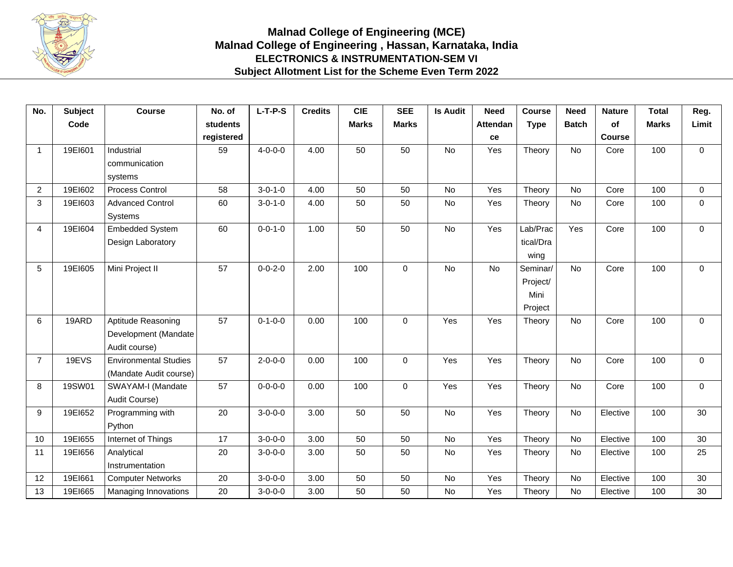

## **Malnad College of Engineering (MCE) Malnad College of Engineering , Hassan, Karnataka, India ELECTRONICS & INSTRUMENTATION-SEM VI Subject Allotment List for the Scheme Even Term 2022**

| No.                     | <b>Subject</b> | <b>Course</b>                | No. of          | $L-T-P-S$       | <b>Credits</b> | <b>CIE</b>   | <b>SEE</b>   | <b>Is Audit</b> | <b>Need</b>     | <b>Course</b> | <b>Need</b>  | <b>Nature</b> | <b>Total</b> | Reg.        |
|-------------------------|----------------|------------------------------|-----------------|-----------------|----------------|--------------|--------------|-----------------|-----------------|---------------|--------------|---------------|--------------|-------------|
|                         | Code           |                              | <b>students</b> |                 |                | <b>Marks</b> | <b>Marks</b> |                 | <b>Attendan</b> | <b>Type</b>   | <b>Batch</b> | of            | <b>Marks</b> | Limit       |
|                         |                |                              | registered      |                 |                |              |              |                 | ce              |               |              | <b>Course</b> |              |             |
| $\overline{\mathbf{1}}$ | 19E1601        | Industrial                   | 59              | $4 - 0 - 0 - 0$ | 4.00           | 50           | 50           | No              | Yes             | Theory        | No           | Core          | 100          | $\mathbf 0$ |
|                         |                | communication                |                 |                 |                |              |              |                 |                 |               |              |               |              |             |
|                         |                | systems                      |                 |                 |                |              |              |                 |                 |               |              |               |              |             |
| $\overline{2}$          | 19E1602        | Process Control              | 58              | $3 - 0 - 1 - 0$ | 4.00           | 50           | 50           | No              | Yes             | Theory        | No           | Core          | 100          | $\mathbf 0$ |
| 3                       | 19E1603        | <b>Advanced Control</b>      | 60              | $3 - 0 - 1 - 0$ | 4.00           | 50           | 50           | No              | Yes             | Theory        | No           | Core          | 100          | $\mathbf 0$ |
|                         |                | <b>Systems</b>               |                 |                 |                |              |              |                 |                 |               |              |               |              |             |
| $\overline{4}$          | 19E1604        | <b>Embedded System</b>       | 60              | $0 - 0 - 1 - 0$ | 1.00           | 50           | 50           | <b>No</b>       | Yes             | Lab/Prac      | Yes          | Core          | 100          | $\Omega$    |
|                         |                | Design Laboratory            |                 |                 |                |              |              |                 |                 | tical/Dra     |              |               |              |             |
|                         |                |                              |                 |                 |                |              |              |                 |                 | wing          |              |               |              |             |
| 5                       | 19E1605        | Mini Project II              | 57              | $0 - 0 - 2 - 0$ | 2.00           | 100          | $\Omega$     | <b>No</b>       | <b>No</b>       | Seminar/      | No           | Core          | 100          | $\mathbf 0$ |
|                         |                |                              |                 |                 |                |              |              |                 |                 | Project/      |              |               |              |             |
|                         |                |                              |                 |                 |                |              |              |                 |                 | Mini          |              |               |              |             |
|                         |                |                              |                 |                 |                |              |              |                 |                 | Project       |              |               |              |             |
| 6                       | 19ARD          | Aptitude Reasoning           | 57              | $0 - 1 - 0 - 0$ | 0.00           | 100          | $\mathbf 0$  | Yes             | Yes             | Theory        | <b>No</b>    | Core          | 100          | $\mathbf 0$ |
|                         |                | Development (Mandate         |                 |                 |                |              |              |                 |                 |               |              |               |              |             |
|                         |                | Audit course)                |                 |                 |                |              |              |                 |                 |               |              |               |              |             |
| $\overline{7}$          | 19EVS          | <b>Environmental Studies</b> | 57              | $2 - 0 - 0 - 0$ | 0.00           | 100          | $\Omega$     | Yes             | Yes             | Theory        | No           | Core          | 100          | $\mathbf 0$ |
|                         |                | (Mandate Audit course)       |                 |                 |                |              |              |                 |                 |               |              |               |              |             |
| 8                       | 19SW01         | SWAYAM-I (Mandate            | 57              | $0 - 0 - 0 - 0$ | 0.00           | 100          | $\Omega$     | Yes             | Yes             | Theory        | <b>No</b>    | Core          | 100          | $\mathbf 0$ |
|                         |                | Audit Course)                |                 |                 |                |              |              |                 |                 |               |              |               |              |             |
| 9                       | 19E1652        | Programming with             | 20              | $3 - 0 - 0 - 0$ | 3.00           | 50           | 50           | <b>No</b>       | Yes             | Theory        | No           | Elective      | 100          | 30          |
|                         |                | Python                       |                 |                 |                |              |              |                 |                 |               |              |               |              |             |
| 10                      | 19E1655        | Internet of Things           | 17              | $3 - 0 - 0 - 0$ | 3.00           | 50           | 50           | No              | Yes             | Theory        | <b>No</b>    | Elective      | 100          | 30          |
| 11                      | 19E1656        | Analytical                   | 20              | $3 - 0 - 0 - 0$ | 3.00           | 50           | 50           | No              | Yes             | Theory        | <b>No</b>    | Elective      | 100          | 25          |
|                         |                | Instrumentation              |                 |                 |                |              |              |                 |                 |               |              |               |              |             |
| 12                      | 19E1661        | <b>Computer Networks</b>     | 20              | $3-0-0-0$       | 3.00           | 50           | 50           | <b>No</b>       | Yes             | Theory        | <b>No</b>    | Elective      | 100          | 30          |
| 13                      | 19E1665        | Managing Innovations         | 20              | $3 - 0 - 0 - 0$ | 3.00           | 50           | 50           | No              | Yes             | Theory        | No           | Elective      | 100          | 30          |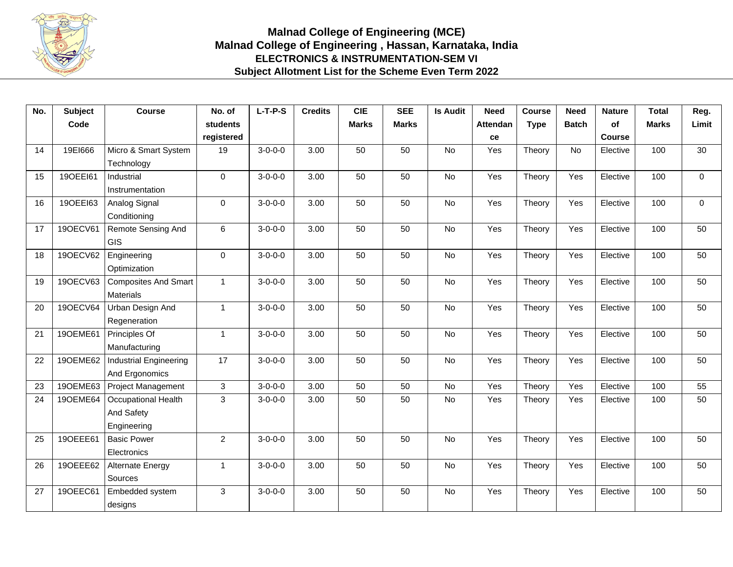

## **Malnad College of Engineering (MCE) Malnad College of Engineering , Hassan, Karnataka, India ELECTRONICS & INSTRUMENTATION-SEM VI Subject Allotment List for the Scheme Even Term 2022**

| No. | <b>Subject</b> | <b>Course</b>               | No. of          | $L-T-P-S$       | <b>Credits</b> | <b>CIE</b>   | <b>SEE</b>   | <b>Is Audit</b> | <b>Need</b>     | <b>Course</b> | <b>Need</b>  | <b>Nature</b> | <b>Total</b> | Reg.        |
|-----|----------------|-----------------------------|-----------------|-----------------|----------------|--------------|--------------|-----------------|-----------------|---------------|--------------|---------------|--------------|-------------|
|     | Code           |                             | <b>students</b> |                 |                | <b>Marks</b> | <b>Marks</b> |                 | <b>Attendan</b> | <b>Type</b>   | <b>Batch</b> | of            | <b>Marks</b> | Limit       |
|     |                |                             | registered      |                 |                |              |              |                 | ce              |               |              | <b>Course</b> |              |             |
| 14  | 19E1666        | Micro & Smart System        | 19              | $3-0-0-0$       | 3.00           | 50           | 50           | No              | Yes             | Theory        | No           | Elective      | 100          | 30          |
|     |                | Technology                  |                 |                 |                |              |              |                 |                 |               |              |               |              |             |
| 15  | 190EE161       | Industrial                  | $\mathbf 0$     | $3-0-0-0$       | 3.00           | 50           | 50           | <b>No</b>       | Yes             | Theory        | Yes          | Elective      | 100          | $\mathbf 0$ |
|     |                | Instrumentation             |                 |                 |                |              |              |                 |                 |               |              |               |              |             |
| 16  | 190EE163       | Analog Signal               | 0               | $3-0-0-0$       | 3.00           | 50           | 50           | <b>No</b>       | Yes             | Theory        | Yes          | Elective      | 100          | $\pmb{0}$   |
|     |                | Conditioning                |                 |                 |                |              |              |                 |                 |               |              |               |              |             |
| 17  | 190ECV61       | Remote Sensing And          | 6               | $3-0-0-0$       | 3.00           | 50           | 50           | <b>No</b>       | Yes             | Theory        | Yes          | Elective      | 100          | 50          |
|     |                | <b>GIS</b>                  |                 |                 |                |              |              |                 |                 |               |              |               |              |             |
| 18  | 190ECV62       | Engineering                 | $\Omega$        | $3-0-0-0$       | 3.00           | 50           | 50           | <b>No</b>       | Yes             | Theory        | Yes          | Elective      | 100          | 50          |
|     |                | Optimization                |                 |                 |                |              |              |                 |                 |               |              |               |              |             |
| 19  | 190ECV63       | <b>Composites And Smart</b> | $\mathbf{1}$    | $3 - 0 - 0 - 0$ | 3.00           | 50           | 50           | No              | Yes             | Theory        | Yes          | Elective      | 100          | 50          |
|     |                | Materials                   |                 |                 |                |              |              |                 |                 |               |              |               |              |             |
| 20  | 190ECV64       | Urban Design And            | $\mathbf{1}$    | $3 - 0 - 0 - 0$ | 3.00           | 50           | 50           | <b>No</b>       | Yes             | Theory        | Yes          | Elective      | 100          | 50          |
|     |                | Regeneration                |                 |                 |                |              |              |                 |                 |               |              |               |              |             |
| 21  | 190EME61       | Principles Of               | $\mathbf{1}$    | $3 - 0 - 0 - 0$ | 3.00           | 50           | 50           | <b>No</b>       | Yes             | Theory        | Yes          | Elective      | 100          | 50          |
|     |                | Manufacturing               |                 |                 |                |              |              |                 |                 |               |              |               |              |             |
| 22  | 190EME62       | Industrial Engineering      | 17              | $3-0-0-0$       | 3.00           | 50           | 50           | <b>No</b>       | Yes             | Theory        | Yes          | Elective      | 100          | 50          |
|     |                | And Ergonomics              |                 |                 |                |              |              |                 |                 |               |              |               |              |             |
| 23  | 190EME63       | Project Management          | 3               | $3-0-0-0$       | 3.00           | 50           | 50           | <b>No</b>       | Yes             | Theory        | Yes          | Elective      | 100          | 55          |
| 24  | 190EME64       | Occupational Health         | 3               | $3-0-0-0$       | 3.00           | 50           | 50           | <b>No</b>       | Yes             | Theory        | Yes          | Elective      | 100          | 50          |
|     |                | And Safety                  |                 |                 |                |              |              |                 |                 |               |              |               |              |             |
|     |                | Engineering                 |                 |                 |                |              |              |                 |                 |               |              |               |              |             |
| 25  | 190EEE61       | <b>Basic Power</b>          | $\overline{2}$  | $3-0-0-0$       | 3.00           | 50           | 50           | <b>No</b>       | Yes             | Theory        | Yes          | Elective      | 100          | 50          |
|     |                | Electronics                 |                 |                 |                |              |              |                 |                 |               |              |               |              |             |
| 26  | 190EEE62       | Alternate Energy            | $\mathbf{1}$    | $3-0-0-0$       | 3.00           | 50           | 50           | <b>No</b>       | Yes             | Theory        | Yes          | Elective      | 100          | 50          |
|     |                | Sources                     |                 |                 |                |              |              |                 |                 |               |              |               |              |             |
| 27  | 190EEC61       | Embedded system             | 3               | $3-0-0-0$       | 3.00           | 50           | 50           | <b>No</b>       | Yes             | Theory        | Yes          | Elective      | 100          | 50          |
|     |                | designs                     |                 |                 |                |              |              |                 |                 |               |              |               |              |             |